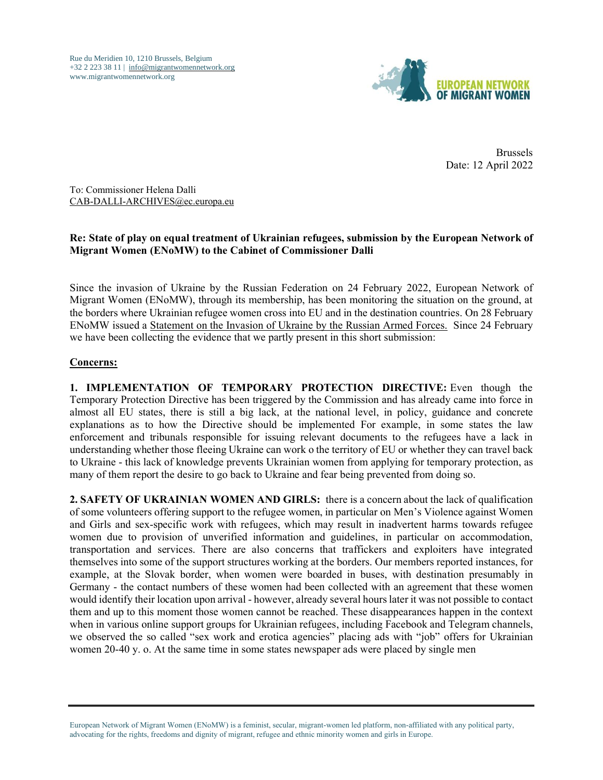Rue du Meridien 10, 1210 Brussels, Belgium +32 2 223 38 11 | [info@migrantwomennetwork.org](mailto:info@migrantwomennetwork.org) www.migrantwomennetwork.org



Brussels Date: 12 April 2022

To: Commissioner Helena Dalli [CAB-DALLI-ARCHIVES@ec.europa.eu](mailto:CAB-DALLI-ARCHIVES@ec.europa.eu)

## **Re: State of play on equal treatment of Ukrainian refugees, submission by the European Network of Migrant Women (ENoMW) to the Cabinet of Commissioner Dalli**

Since the invasion of Ukraine by the Russian Federation on 24 February 2022, European Network of Migrant Women (ENoMW), through its membership, has been monitoring the situation on the ground, at the borders where Ukrainian refugee women cross into EU and in the destination countries. On 28 February ENoMW issued a [Statement on the Invasion of Ukraine by the Russian Armed Forces.](https://www.migrantwomennetwork.org/2022/02/28/statement-on-the-invasion-of-ukraine-by-the-russian-armed-forces/) Since 24 February we have been collecting the evidence that we partly present in this short submission:

## **Concerns:**

**1. IMPLEMENTATION OF TEMPORARY PROTECTION DIRECTIVE:** Even though the Temporary Protection Directive has been triggered by the Commission and has already came into force in almost all EU states, there is still a big lack, at the national level, in policy, guidance and concrete explanations as to how the Directive should be implemented For example, in some states the law enforcement and tribunals responsible for issuing relevant documents to the refugees have a lack in understanding whether those fleeing Ukraine can work o the territory of EU or whether they can travel back to Ukraine - this lack of knowledge prevents Ukrainian women from applying for temporary protection, as many of them report the desire to go back to Ukraine and fear being prevented from doing so.

**2. SAFETY OF UKRAINIAN WOMEN AND GIRLS:** there is a concern about the lack of qualification of some volunteers offering support to the refugee women, in particular on Men's Violence against Women and Girls and sex-specific work with refugees, which may result in inadvertent harms towards refugee women due to provision of unverified information and guidelines, in particular on accommodation, transportation and services. There are also concerns that traffickers and exploiters have integrated themselves into some of the support structures working at the borders. Our members reported instances, for example, at the Slovak border, when women were boarded in buses, with destination presumably in Germany - the contact numbers of these women had been collected with an agreement that these women would identify their location upon arrival - however, already several hours later it was not possible to contact them and up to this moment those women cannot be reached. These disappearances happen in the context when in various online support groups for Ukrainian refugees, including Facebook and Telegram channels, we observed the so called "sex work and erotica agencies" placing ads with "job" offers for Ukrainian women 20-40 y. o. At the same time in some states newspaper ads were placed by single men

European Network of Migrant Women (ENoMW) is a feminist, secular, migrant-women led platform, non-affiliated with any political party, advocating for the rights, freedoms and dignity of migrant, refugee and ethnic minority women and girls in Europe.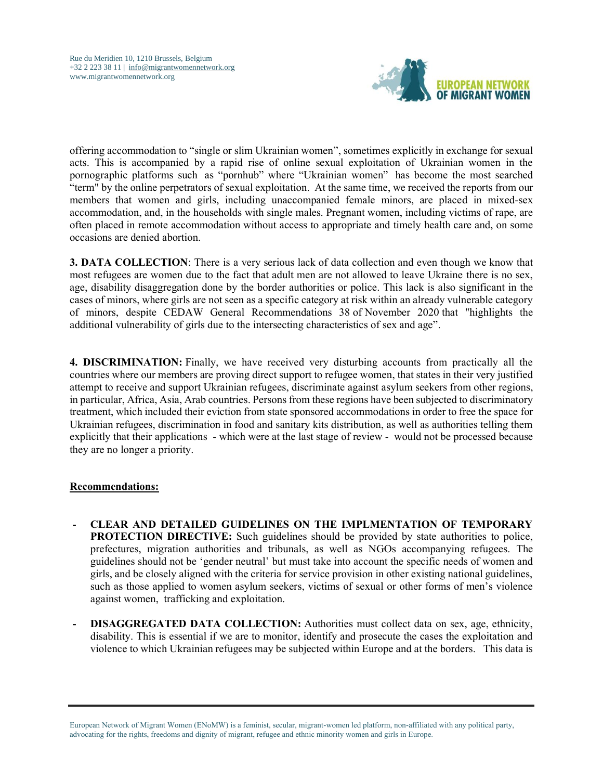

offering accommodation to "single or slim Ukrainian women", sometimes explicitly in exchange for sexual acts. This is accompanied by a rapid rise of online sexual exploitation of Ukrainian women in the pornographic platforms such as "pornhub" where "Ukrainian women" has become the most searched "term" by the online perpetrators of sexual exploitation. At the same time, we received the reports from our members that women and girls, including unaccompanied female minors, are placed in mixed-sex accommodation, and, in the households with single males. Pregnant women, including victims of rape, are often placed in remote accommodation without access to appropriate and timely health care and, on some occasions are denied abortion.

**3. DATA COLLECTION:** There is a very serious lack of data collection and even though we know that most refugees are women due to the fact that adult men are not allowed to leave Ukraine there is no sex, age, disability disaggregation done by the border authorities or police. This lack is also significant in the cases of minors, where girls are not seen as a specific category at risk within an already vulnerable category of minors, despite CEDAW General Recommendations 38 of November 2020 that "highlights the additional vulnerability of girls due to the intersecting characteristics of sex and age".

**4. DISCRIMINATION:** Finally, we have received very disturbing accounts from practically all the countries where our members are proving direct support to refugee women, that states in their very justified attempt to receive and support Ukrainian refugees, discriminate against asylum seekers from other regions, in particular, Africa, Asia, Arab countries. Persons from these regions have been subjected to discriminatory treatment, which included their eviction from state sponsored accommodations in order to free the space for Ukrainian refugees, discrimination in food and sanitary kits distribution, as well as authorities telling them explicitly that their applications - which were at the last stage of review - would not be processed because they are no longer a priority.

## **Recommendations:**

- **- CLEAR AND DETAILED GUIDELINES ON THE IMPLMENTATION OF TEMPORARY PROTECTION DIRECTIVE:** Such guidelines should be provided by state authorities to police, prefectures, migration authorities and tribunals, as well as NGOs accompanying refugees. The guidelines should not be 'gender neutral' but must take into account the specific needs of women and girls, and be closely aligned with the criteria for service provision in other existing national guidelines, such as those applied to women asylum seekers, victims of sexual or other forms of men's violence against women, trafficking and exploitation.
- **- DISAGGREGATED DATA COLLECTION:** Authorities must collect data on sex, age, ethnicity, disability. This is essential if we are to monitor, identify and prosecute the cases the exploitation and violence to which Ukrainian refugees may be subjected within Europe and at the borders. This data is

European Network of Migrant Women (ENoMW) is a feminist, secular, migrant-women led platform, non-affiliated with any political party, advocating for the rights, freedoms and dignity of migrant, refugee and ethnic minority women and girls in Europe.